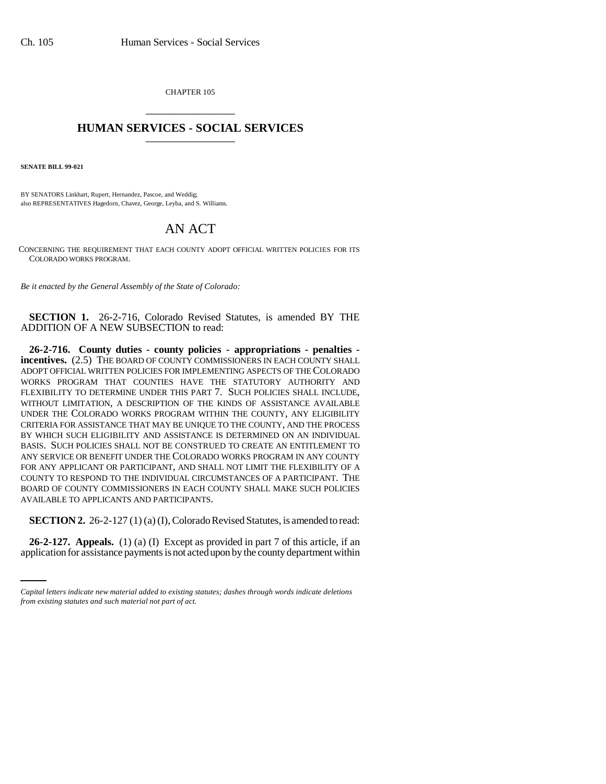CHAPTER 105 \_\_\_\_\_\_\_\_\_\_\_\_\_\_\_

## **HUMAN SERVICES - SOCIAL SERVICES** \_\_\_\_\_\_\_\_\_\_\_\_\_\_\_

**SENATE BILL 99-021**

BY SENATORS Linkhart, Rupert, Hernandez, Pascoe, and Weddig; also REPRESENTATIVES Hagedorn, Chavez, George, Leyba, and S. Williams.

## AN ACT

CONCERNING THE REQUIREMENT THAT EACH COUNTY ADOPT OFFICIAL WRITTEN POLICIES FOR ITS COLORADO WORKS PROGRAM.

*Be it enacted by the General Assembly of the State of Colorado:*

**SECTION 1.** 26-2-716, Colorado Revised Statutes, is amended BY THE ADDITION OF A NEW SUBSECTION to read:

**26-2-716. County duties - county policies - appropriations - penalties incentives.** (2.5) THE BOARD OF COUNTY COMMISSIONERS IN EACH COUNTY SHALL ADOPT OFFICIAL WRITTEN POLICIES FOR IMPLEMENTING ASPECTS OF THE COLORADO WORKS PROGRAM THAT COUNTIES HAVE THE STATUTORY AUTHORITY AND FLEXIBILITY TO DETERMINE UNDER THIS PART 7. SUCH POLICIES SHALL INCLUDE, WITHOUT LIMITATION, A DESCRIPTION OF THE KINDS OF ASSISTANCE AVAILABLE UNDER THE COLORADO WORKS PROGRAM WITHIN THE COUNTY, ANY ELIGIBILITY CRITERIA FOR ASSISTANCE THAT MAY BE UNIQUE TO THE COUNTY, AND THE PROCESS BY WHICH SUCH ELIGIBILITY AND ASSISTANCE IS DETERMINED ON AN INDIVIDUAL BASIS. SUCH POLICIES SHALL NOT BE CONSTRUED TO CREATE AN ENTITLEMENT TO ANY SERVICE OR BENEFIT UNDER THE COLORADO WORKS PROGRAM IN ANY COUNTY FOR ANY APPLICANT OR PARTICIPANT, AND SHALL NOT LIMIT THE FLEXIBILITY OF A COUNTY TO RESPOND TO THE INDIVIDUAL CIRCUMSTANCES OF A PARTICIPANT. THE BOARD OF COUNTY COMMISSIONERS IN EACH COUNTY SHALL MAKE SUCH POLICIES AVAILABLE TO APPLICANTS AND PARTICIPANTS.

 $\sim$ **SECTION 2.** 26-2-127 (1) (a) (I), Colorado Revised Statutes, is amended to read:

**26-2-127. Appeals.** (1) (a) (I) Except as provided in part 7 of this article, if an application for assistance payments is not acted upon by the county department within

*Capital letters indicate new material added to existing statutes; dashes through words indicate deletions from existing statutes and such material not part of act.*